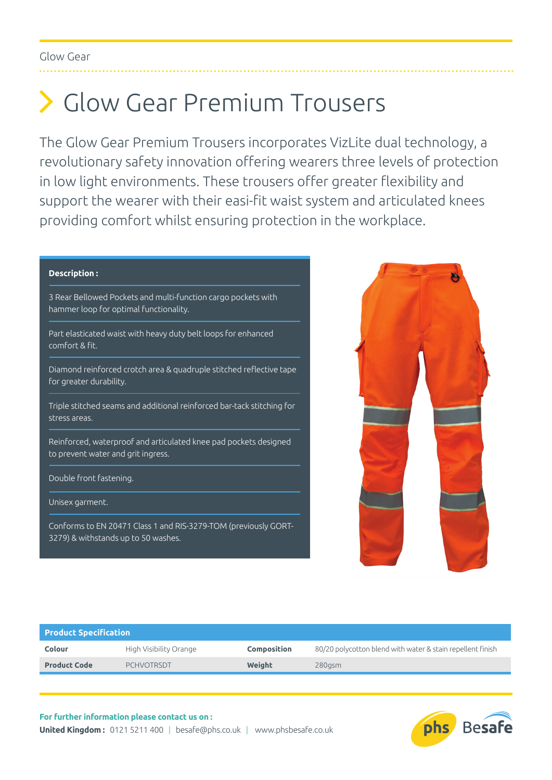## Glow Gear Premium Trousers

The Glow Gear Premium Trousers incorporates VizLite dual technology, a revolutionary safety innovation offering wearers three levels of protection in low light environments. These trousers offer greater flexibility and support the wearer with their easi-fit waist system and articulated knees providing comfort whilst ensuring protection in the workplace.

## **Description :**

3 Rear Bellowed Pockets and multi-function cargo pockets with hammer loop for optimal functionality.

Part elasticated waist with heavy duty belt loops for enhanced comfort & fit.

Diamond reinforced crotch area & quadruple stitched reflective tape for greater durability.

Triple stitched seams and additional reinforced bar-tack stitching for stress areas.

Reinforced, waterproof and articulated knee pad pockets designed to prevent water and grit ingress.

Double front fastening.

Unisex garment.

Conforms to EN 20471 Class 1 and RIS-3279-TOM (previously GORT-3279) & withstands up to 50 washes.



| <b>Product Specification</b> |                        |             |                                                            |  |  |  |  |  |  |  |
|------------------------------|------------------------|-------------|------------------------------------------------------------|--|--|--|--|--|--|--|
| <b>Colour</b>                | High Visibility Orange | Composition | 80/20 polycotton blend with water & stain repellent finish |  |  |  |  |  |  |  |
| <b>Product Code</b>          | <b>PCHVOTRSDT</b>      | Weight      | $280$ asm                                                  |  |  |  |  |  |  |  |